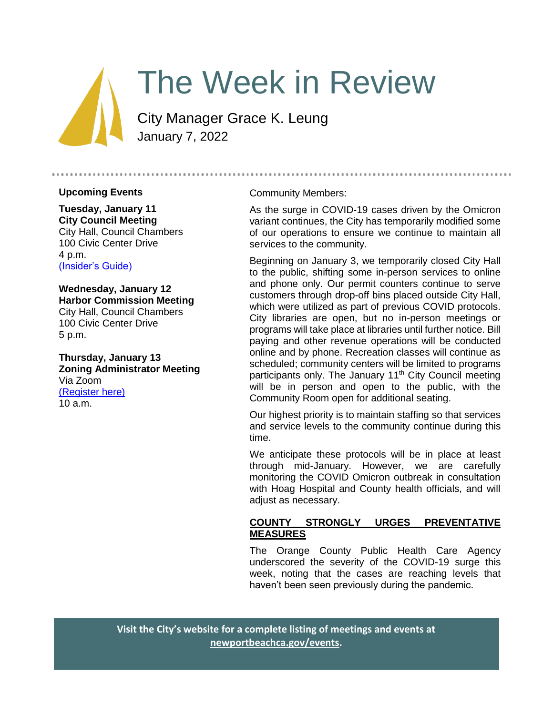

# The Week in Review

City Manager Grace K. Leung January 7, 2022

#### **Upcoming Events**

**Tuesday, January 11 City Council Meeting** City Hall, Council Chambers 100 Civic Center Drive 4 p.m. [\(Insider's Guide\)](#page-3-0)

**Wednesday, January 12 Harbor Commission Meeting** City Hall, Council Chambers 100 Civic Center Drive 5 p.m.

**Thursday, January 13 Zoning Administrator Meeting** Via Zoom [\(Register here\)](https://us06web.zoom.us/webinar/register/WN_K5Ql04HNT7mP-jnio-enag) 10 a.m.

#### Community Members:

As the surge in COVID-19 cases driven by the Omicron variant continues, the City has temporarily modified some of our operations to ensure we continue to maintain all services to the community.

Beginning on January 3, we temporarily closed City Hall to the public, shifting some in-person services to online and phone only. Our permit counters continue to serve customers through drop-off bins placed outside City Hall, which were utilized as part of previous COVID protocols. City libraries are open, but no in-person meetings or programs will take place at libraries until further notice. Bill paying and other revenue operations will be conducted online and by phone. Recreation classes will continue as scheduled; community centers will be limited to programs participants only. The January 11<sup>th</sup> City Council meeting will be in person and open to the public, with the Community Room open for additional seating.

Our highest priority is to maintain staffing so that services and service levels to the community continue during this time.

We anticipate these protocols will be in place at least through mid-January. However, we are carefully monitoring the COVID Omicron outbreak in consultation with Hoag Hospital and County health officials, and will adjust as necessary.

#### **COUNTY STRONGLY URGES PREVENTATIVE MEASURES**

The Orange County Public Health Care Agency underscored the severity of the COVID-19 surge this week, noting that the cases are reaching levels that haven't been seen previously during the pandemic.

**Visit the City's website for a complete listing of meetings and events at [newportbeachca.gov/events.](https://www.newportbeachca.gov/government/data-hub/city-calendar)**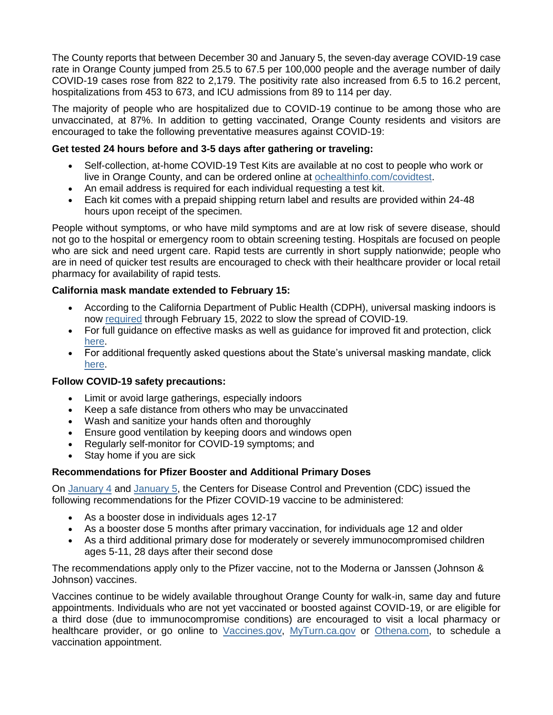The County reports that between December 30 and January 5, the seven-day average COVID-19 case rate in Orange County jumped from 25.5 to 67.5 per 100,000 people and the average number of daily COVID-19 cases rose from 822 to 2,179. The positivity rate also increased from 6.5 to 16.2 percent, hospitalizations from 453 to 673, and ICU admissions from 89 to 114 per day.

The majority of people who are hospitalized due to COVID-19 continue to be among those who are unvaccinated, at 87%. In addition to getting vaccinated, Orange County residents and visitors are encouraged to take the following preventative measures against COVID-19:

## **Get tested 24 hours before and 3-5 days after gathering or traveling:**

- Self-collection, at-home COVID-19 Test Kits are available at no cost to people who work or live in Orange County, and can be ordered online at [ochealthinfo.com/covidtest.](https://ochealthinfo.us4.list-manage.com/track/click?u=2f2593b644c191a74f2a4d25a&id=35eeba435c&e=84e0ec53fe)
- An email address is required for each individual requesting a test kit.
- Each kit comes with a prepaid shipping return label and results are provided within 24-48 hours upon receipt of the specimen.

People without symptoms, or who have mild symptoms and are at low risk of severe disease, should not go to the hospital or emergency room to obtain screening testing. Hospitals are focused on people who are sick and need urgent care. Rapid tests are currently in short supply nationwide; people who are in need of quicker test results are encouraged to check with their healthcare provider or local retail pharmacy for availability of rapid tests.

## **California mask mandate extended to February 15:**

- According to the California Department of Public Health (CDPH), universal masking indoors is now [required](https://ochealthinfo.us4.list-manage.com/track/click?u=2f2593b644c191a74f2a4d25a&id=4774a30f37&e=84e0ec53fe) through February 15, 2022 to slow the spread of COVID-19.
- For full guidance on effective masks as well as guidance for improved fit and protection, click [here.](https://ochealthinfo.us4.list-manage.com/track/click?u=2f2593b644c191a74f2a4d25a&id=98ae6077d4&e=84e0ec53fe)
- For additional frequently asked questions about the State's universal masking mandate, click [here.](https://ochealthinfo.us4.list-manage.com/track/click?u=2f2593b644c191a74f2a4d25a&id=7fd40b0e30&e=84e0ec53fe)

#### **Follow COVID-19 safety precautions:**

- Limit or avoid large gatherings, especially indoors
- Keep a safe distance from others who may be unvaccinated
- Wash and sanitize your hands often and thoroughly
- Ensure good ventilation by keeping doors and windows open
- Regularly self-monitor for COVID-19 symptoms; and
- Stay home if you are sick

# **Recommendations for Pfizer Booster and Additional Primary Doses**

On [January 4](https://ochealthinfo.us4.list-manage.com/track/click?u=2f2593b644c191a74f2a4d25a&id=32684f1157&e=84e0ec53fe) and [January 5,](https://ochealthinfo.us4.list-manage.com/track/click?u=2f2593b644c191a74f2a4d25a&id=116be46196&e=84e0ec53fe) the Centers for Disease Control and Prevention (CDC) issued the following recommendations for the Pfizer COVID-19 vaccine to be administered:

- As a booster dose in individuals ages 12-17
- As a booster dose 5 months after primary vaccination, for individuals age 12 and older
- As a third additional primary dose for moderately or severely immunocompromised children ages 5-11, 28 days after their second dose

The recommendations apply only to the Pfizer vaccine, not to the Moderna or Janssen (Johnson & Johnson) vaccines.

Vaccines continue to be widely available throughout Orange County for walk-in, same day and future appointments. Individuals who are not yet vaccinated or boosted against COVID-19, or are eligible for a third dose (due to immunocompromise conditions) are encouraged to visit a local pharmacy or healthcare provider, or go online to [Vaccines.gov,](https://ochealthinfo.us4.list-manage.com/track/click?u=2f2593b644c191a74f2a4d25a&id=fb99f06d5e&e=84e0ec53fe) [MyTurn.ca.gov](https://ochealthinfo.us4.list-manage.com/track/click?u=2f2593b644c191a74f2a4d25a&id=e31ac66117&e=84e0ec53fe) or [Othena.com,](https://ochealthinfo.us4.list-manage.com/track/click?u=2f2593b644c191a74f2a4d25a&id=aee73100a7&e=84e0ec53fe) to schedule a vaccination appointment.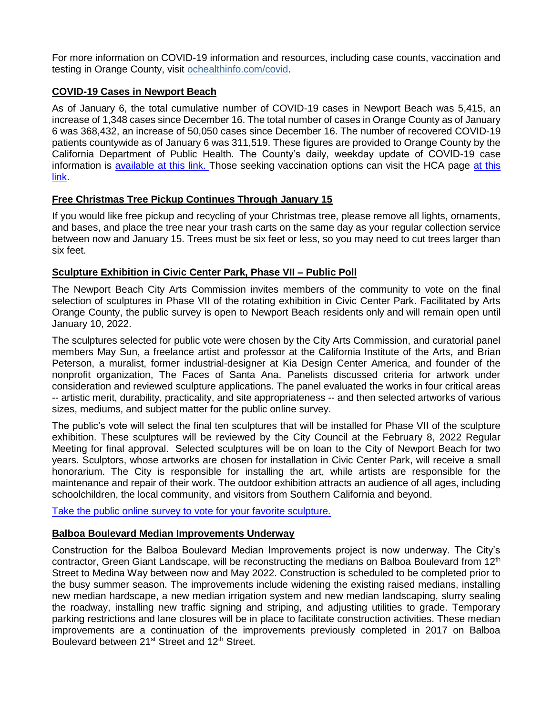For more information on COVID-19 information and resources, including case counts, vaccination and testing in Orange County, visit [ochealthinfo.com/covid.](https://ochealthinfo.us4.list-manage.com/track/click?u=2f2593b644c191a74f2a4d25a&id=5c275fe265&e=84e0ec53fe)

#### **COVID-19 Cases in Newport Beach**

As of January 6, the total cumulative number of COVID-19 cases in Newport Beach was 5,415, an increase of 1,348 cases since December 16. The total number of cases in Orange County as of January 6 was 368,432, an increase of 50,050 cases since December 16. The number of recovered COVID-19 patients countywide as of January 6 was 311,519. These figures are provided to Orange County by the California Department of Public Health. The County's daily, weekday update of COVID-19 case information is [available at this link.](https://ochca.maps.arcgis.com/apps/dashboards/cc4859c8c522496b9f21c451de2fedae) Those seeking vaccination options can visit the HCA page [at this](https://occovid19.ochealthinfo.com/covid-19-vaccine-distribution-channels)  [link.](https://occovid19.ochealthinfo.com/covid-19-vaccine-distribution-channels)

## **Free Christmas Tree Pickup Continues Through January 15**

If you would like free pickup and recycling of your Christmas tree, please remove all lights, ornaments, and bases, and place the tree near your trash carts on the same day as your regular collection service between now and January 15. Trees must be six feet or less, so you may need to cut trees larger than six feet.

#### **Sculpture Exhibition in Civic Center Park, Phase VII – Public Poll**

The Newport Beach City Arts Commission invites members of the community to vote on the final selection of sculptures in Phase VII of the rotating exhibition in Civic Center Park. Facilitated by Arts Orange County, the public survey is open to Newport Beach residents only and will remain open until January 10, 2022.

The sculptures selected for public vote were chosen by the City Arts Commission, and curatorial panel members May Sun, a freelance artist and professor at the California Institute of the Arts, and Brian Peterson, a muralist, former industrial-designer at Kia Design Center America, and founder of the nonprofit organization, The Faces of Santa Ana. Panelists discussed criteria for artwork under consideration and reviewed sculpture applications. The panel evaluated the works in four critical areas -- artistic merit, durability, practicality, and site appropriateness -- and then selected artworks of various sizes, mediums, and subject matter for the public online survey.

The public's vote will select the final ten sculptures that will be installed for Phase VII of the sculpture exhibition. These sculptures will be reviewed by the City Council at the February 8, 2022 Regular Meeting for final approval. Selected sculptures will be on loan to the City of Newport Beach for two years. Sculptors, whose artworks are chosen for installation in Civic Center Park, will receive a small honorarium. The City is responsible for installing the art, while artists are responsible for the maintenance and repair of their work. The outdoor exhibition attracts an audience of all ages, including schoolchildren, the local community, and visitors from Southern California and beyond.

[Take the public online survey to vote for your favorite sculpture.](https://www.sparkoc.com/nb_sculpture_poll/)

#### **Balboa Boulevard Median Improvements Underway**

Construction for the Balboa Boulevard Median Improvements project is now underway. The City's contractor, Green Giant Landscape, will be reconstructing the medians on Balboa Boulevard from 12<sup>th</sup> Street to Medina Way between now and May 2022. Construction is scheduled to be completed prior to the busy summer season. The improvements include widening the existing raised medians, installing new median hardscape, a new median irrigation system and new median landscaping, slurry sealing the roadway, installing new traffic signing and striping, and adjusting utilities to grade. Temporary parking restrictions and lane closures will be in place to facilitate construction activities. These median improvements are a continuation of the improvements previously completed in 2017 on Balboa Boulevard between 21<sup>st</sup> Street and 12<sup>th</sup> Street.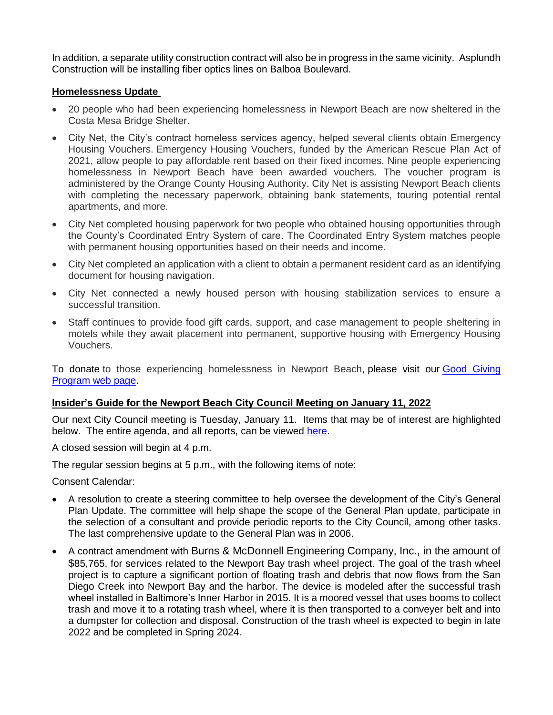In addition, a separate utility construction contract will also be in progress in the same vicinity. Asplundh Construction will be installing fiber optics lines on Balboa Boulevard.

#### **Homelessness Update**

- 20 people who had been experiencing homelessness in Newport Beach are now sheltered in the Costa Mesa Bridge Shelter.
- City Net, the City's contract homeless services agency, helped several clients obtain Emergency Housing Vouchers. Emergency Housing Vouchers, funded by the American Rescue Plan Act of 2021, allow people to pay affordable rent based on their fixed incomes. Nine people experiencing homelessness in Newport Beach have been awarded vouchers. The voucher program is administered by the Orange County Housing Authority. City Net is assisting Newport Beach clients with completing the necessary paperwork, obtaining bank statements, touring potential rental apartments, and more.
- City Net completed housing paperwork for two people who obtained housing opportunities through the County's Coordinated Entry System of care. The Coordinated Entry System matches people with permanent housing opportunities based on their needs and income.
- City Net completed an application with a client to obtain a permanent resident card as an identifying document for housing navigation.
- City Net connected a newly housed person with housing stabilization services to ensure a successful transition.
- Staff continues to provide food gift cards, support, and case management to people sheltering in motels while they await placement into permanent, supportive housing with Emergency Housing Vouchers.

To donate to those experiencing homelessness in Newport Beach, please visit our [Good Giving](https://newportbeachca.gov/trending/community-issues/homelessness/how-you-can-help)  [Program web page.](https://newportbeachca.gov/trending/community-issues/homelessness/how-you-can-help)

#### <span id="page-3-0"></span>**Insider's Guide for the Newport Beach City Council Meeting on January 11, 2022**

Our next City Council meeting is Tuesday, January 11. Items that may be of interest are highlighted below. The entire agenda, and all reports, can be viewed [here.](https://www.newportbeachca.gov/Home/Components/Calendar/Event/68205/72)

A closed session will begin at 4 p.m.

The regular session begins at 5 p.m., with the following items of note:

Consent Calendar:

- A resolution to create a steering committee to help oversee the development of the City's General Plan Update. The committee will help shape the scope of the General Plan update, participate in the selection of a consultant and provide periodic reports to the City Council, among other tasks. The last comprehensive update to the General Plan was in 2006.
- A contract amendment with Burns & McDonnell Engineering Company, Inc., in the amount of \$85,765, for services related to the Newport Bay trash wheel project. The goal of the trash wheel project is to capture a significant portion of floating trash and debris that now flows from the San Diego Creek into Newport Bay and the harbor. The device is modeled after the successful trash wheel installed in Baltimore's Inner Harbor in 2015. It is a moored vessel that uses booms to collect trash and move it to a rotating trash wheel, where it is then transported to a conveyer belt and into a dumpster for collection and disposal. Construction of the trash wheel is expected to begin in late 2022 and be completed in Spring 2024.